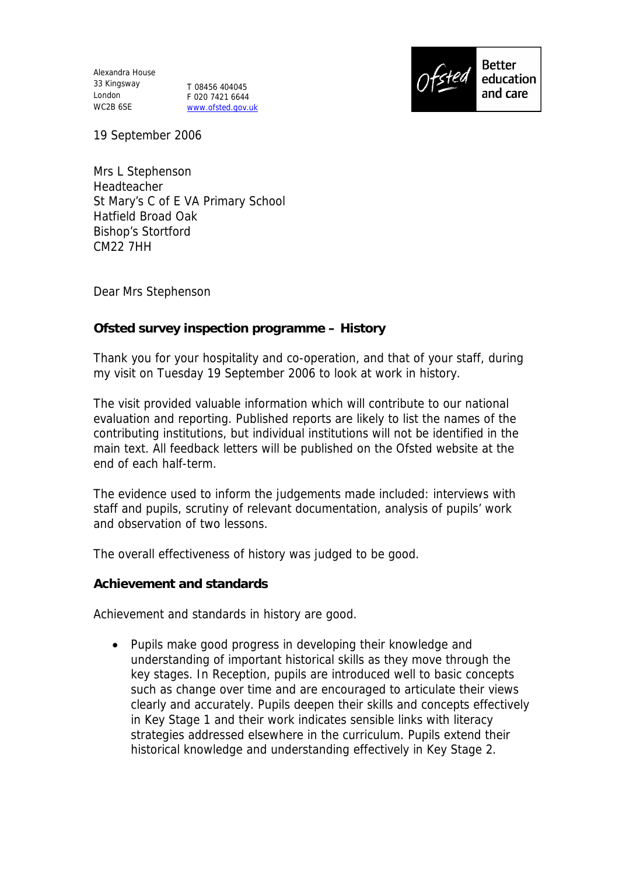Alexandra House 33 Kingsway London T 08456 404045 WC2B 6SE

F 020 7421 6644 www.ofsted.gov.uk



19 September 2006

Mrs L Stephenson Headteacher St Mary's C of E VA Primary School Hatfield Broad Oak Bishop's Stortford CM22 7HH

Dear Mrs Stephenson

**Ofsted survey inspection programme – History**

Thank you for your hospitality and co-operation, and that of your staff, during my visit on Tuesday 19 September 2006 to look at work in history.

The visit provided valuable information which will contribute to our national evaluation and reporting. Published reports are likely to list the names of the contributing institutions, but individual institutions will not be identified in the main text. All feedback letters will be published on the Ofsted website at the end of each half-term.

The evidence used to inform the judgements made included: interviews with staff and pupils, scrutiny of relevant documentation, analysis of pupils' work and observation of two lessons.

The overall effectiveness of history was judged to be good.

**Achievement and standards**

Achievement and standards in history are good.

• Pupils make good progress in developing their knowledge and understanding of important historical skills as they move through the key stages. In Reception, pupils are introduced well to basic concepts such as change over time and are encouraged to articulate their views clearly and accurately. Pupils deepen their skills and concepts effectively in Key Stage 1 and their work indicates sensible links with literacy strategies addressed elsewhere in the curriculum. Pupils extend their historical knowledge and understanding effectively in Key Stage 2.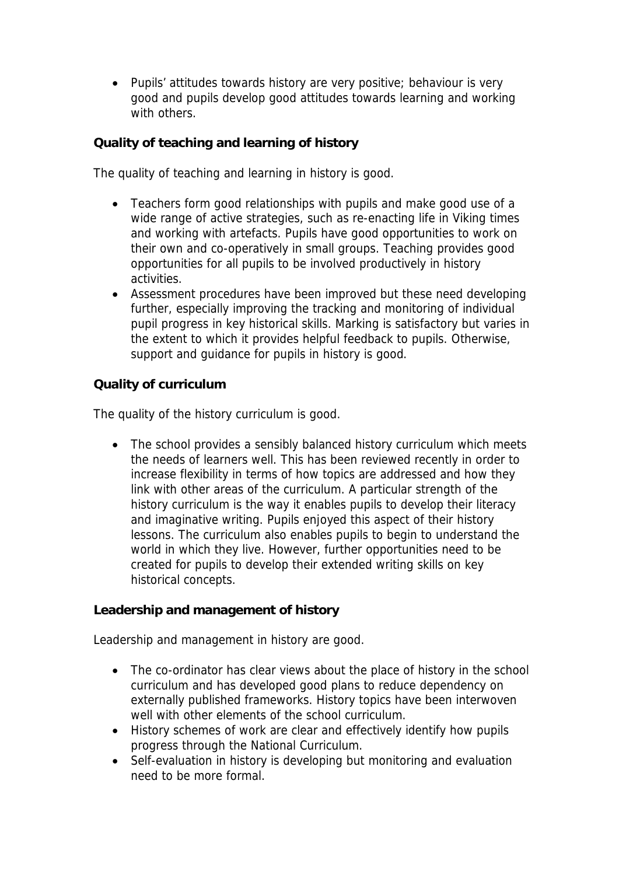• Pupils' attitudes towards history are very positive; behaviour is very good and pupils develop good attitudes towards learning and working with others.

## **Quality of teaching and learning of history**

The quality of teaching and learning in history is good.

- Teachers form good relationships with pupils and make good use of a wide range of active strategies, such as re-enacting life in Viking times and working with artefacts. Pupils have good opportunities to work on their own and co-operatively in small groups. Teaching provides good opportunities for all pupils to be involved productively in history activities.
- Assessment procedures have been improved but these need developing further, especially improving the tracking and monitoring of individual pupil progress in key historical skills. Marking is satisfactory but varies in the extent to which it provides helpful feedback to pupils. Otherwise, support and guidance for pupils in history is good.

## **Quality of curriculum**

The quality of the history curriculum is good.

• The school provides a sensibly balanced history curriculum which meets the needs of learners well. This has been reviewed recently in order to increase flexibility in terms of how topics are addressed and how they link with other areas of the curriculum. A particular strength of the history curriculum is the way it enables pupils to develop their literacy and imaginative writing. Pupils enjoyed this aspect of their history lessons. The curriculum also enables pupils to begin to understand the world in which they live. However, further opportunities need to be created for pupils to develop their extended writing skills on key historical concepts.

**Leadership and management of history**

Leadership and management in history are good.

- The co-ordinator has clear views about the place of history in the school curriculum and has developed good plans to reduce dependency on externally published frameworks. History topics have been interwoven well with other elements of the school curriculum.
- History schemes of work are clear and effectively identify how pupils progress through the National Curriculum.
- Self-evaluation in history is developing but monitoring and evaluation need to be more formal.